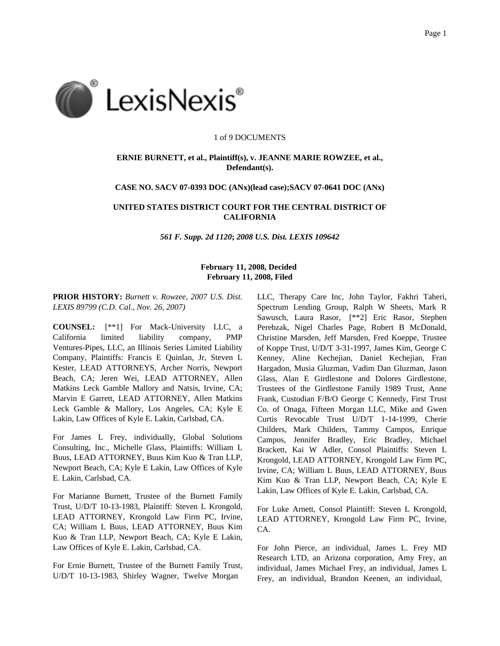

#### 1 of 9 DOCUMENTS

## **ERNIE BURNETT, et al., Plaintiff(s), v. JEANNE MARIE ROWZEE, et al., Defendant(s).**

## **CASE NO. SACV 07-0393 DOC (ANx)(lead case);SACV 07-0641 DOC (ANx)**

# **UNITED STATES DISTRICT COURT FOR THE CENTRAL DISTRICT OF CALIFORNIA**

*561 F. Supp. 2d 1120***;** *2008 U.S. Dist. LEXIS 109642*

# **February 11, 2008, Decided February 11, 2008, Filed**

**PRIOR HISTORY:** *Burnett v. Rowzee, 2007 U.S. Dist. LEXIS 89799 (C.D. Cal., Nov. 26, 2007)*

**COUNSEL:** [\*\*1] For Mack-University LLC, a California limited liability company, PMP Ventures-Pipes, LLC, an Illinois Series Limited Liability Company, Plaintiffs: Francis E Quinlan, Jr, Steven L Kester, LEAD ATTORNEYS, Archer Norris, Newport Beach, CA; Jeren Wei, LEAD ATTORNEY, Allen Matkins Leck Gamble Mallory and Natsis, Irvine, CA; Marvin E Garrett, LEAD ATTORNEY, Allen Matkins Leck Gamble & Mallory, Los Angeles, CA; Kyle E Lakin, Law Offices of Kyle E. Lakin, Carlsbad, CA.

For James L Frey, individually, Global Solutions Consulting, Inc., Michelle Glass, Plaintiffs: William L Buus, LEAD ATTORNEY, Buus Kim Kuo & Tran LLP, Newport Beach, CA; Kyle E Lakin, Law Offices of Kyle E. Lakin, Carlsbad, CA.

For Marianne Burnett, Trustee of the Burnett Family Trust, U/D/T 10-13-1983, Plaintiff: Steven L Krongold, LEAD ATTORNEY, Krongold Law Firm PC, Irvine, CA; William L Buus, LEAD ATTORNEY, Buus Kim Kuo & Tran LLP, Newport Beach, CA; Kyle E Lakin, Law Offices of Kyle E. Lakin, Carlsbad, CA.

For Ernie Burnett, Trustee of the Burnett Family Trust, U/D/T 10-13-1983, Shirley Wagner, Twelve Morgan

LLC, Therapy Care Inc, John Taylor, Fakhri Taheri, Spectrum Lending Group, Ralph W Sheets, Mark R Sawusch, Laura Rasor, [\*\*2] Eric Rasor, Stephen Perebzak, Nigel Charles Page, Robert B McDonald, Christine Marsden, Jeff Marsden, Fred Koeppe, Trustee of Koppe Trust, U/D/T 3-31-1997, James Kim, George C Kenney, Aline Kechejian, Daniel Kechejian, Fran Hargadon, Musia Gluzman, Vadim Dan Gluzman, Jason Glass, Alan E Girdlestone and Dolores Girdlestone, Trustees of the Girdlestone Family 1989 Trust, Anne Frank, Custodian F/B/O George C Kennedy, First Trust Co. of Onaga, Fifteen Morgan LLC, Mike and Gwen Curtis Revocable Trust U/D/T 1-14-1999, Cherie Childers, Mark Childers, Tammy Campos, Enrique Campos, Jennifer Bradley, Eric Bradley, Michael Brackett, Kai W Adler, Consol Plaintiffs: Steven L Krongold, LEAD ATTORNEY, Krongold Law Firm PC, Irvine, CA; William L Buus, LEAD ATTORNEY, Buus Kim Kuo & Tran LLP, Newport Beach, CA; Kyle E Lakin, Law Offices of Kyle E. Lakin, Carlsbad, CA.

For Luke Arnett, Consol Plaintiff: Steven L Krongold, LEAD ATTORNEY, Krongold Law Firm PC, Irvine, CA.

For John Pierce, an individual, James L. Frey MD Research LTD, an Arizona corporation, Amy Frey, an individual, James Michael Frey, an individual, James L Frey, an individual, Brandon Keenen, an individual,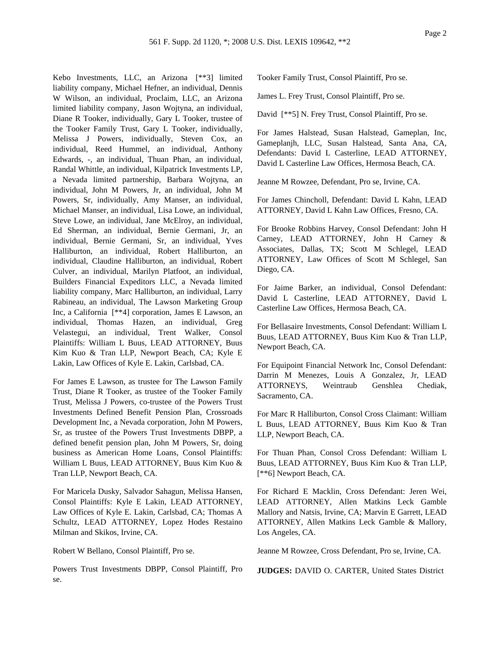Kebo Investments, LLC, an Arizona [\*\*3] limited liability company, Michael Hefner, an individual, Dennis W Wilson, an individual, Proclaim, LLC, an Arizona limited liability company, Jason Wojtyna, an individual, Diane R Tooker, individually, Gary L Tooker, trustee of the Tooker Family Trust, Gary L Tooker, individually, Melissa J Powers, individually, Steven Cox, an individual, Reed Hummel, an individual, Anthony Edwards, -, an individual, Thuan Phan, an individual, Randal Whittle, an individual, Kilpatrick Investments LP, a Nevada limited partnership, Barbara Wojtyna, an individual, John M Powers, Jr, an individual, John M Powers, Sr, individually, Amy Manser, an individual, Michael Manser, an individual, Lisa Lowe, an individual, Steve Lowe, an individual, Jane McElroy, an individual, Ed Sherman, an individual, Bernie Germani, Jr, an individual, Bernie Germani, Sr, an individual, Yves Halliburton, an individual, Robert Halliburton, an individual, Claudine Halliburton, an individual, Robert Culver, an individual, Marilyn Platfoot, an individual, Builders Financial Expeditors LLC, a Nevada limited liability company, Marc Halliburton, an individual, Larry Rabineau, an individual, The Lawson Marketing Group Inc, a California [\*\*4] corporation, James E Lawson, an individual, Thomas Hazen, an individual, Greg Velastegui, an individual, Trent Walker, Consol Plaintiffs: William L Buus, LEAD ATTORNEY, Buus Kim Kuo & Tran LLP, Newport Beach, CA; Kyle E Lakin, Law Offices of Kyle E. Lakin, Carlsbad, CA.

For James E Lawson, as trustee for The Lawson Family Trust, Diane R Tooker, as trustee of the Tooker Family Trust, Melissa J Powers, co-trustee of the Powers Trust Investments Defined Benefit Pension Plan, Crossroads Development Inc, a Nevada corporation, John M Powers, Sr, as trustee of the Powers Trust Investments DBPP, a defined benefit pension plan, John M Powers, Sr, doing business as American Home Loans, Consol Plaintiffs: William L Buus, LEAD ATTORNEY, Buus Kim Kuo & Tran LLP, Newport Beach, CA.

For Maricela Dusky, Salvador Sahagun, Melissa Hansen, Consol Plaintiffs: Kyle E Lakin, LEAD ATTORNEY, Law Offices of Kyle E. Lakin, Carlsbad, CA; Thomas A Schultz, LEAD ATTORNEY, Lopez Hodes Restaino Milman and Skikos, Irvine, CA.

Robert W Bellano, Consol Plaintiff, Pro se.

Powers Trust Investments DBPP, Consol Plaintiff, Pro se.

Tooker Family Trust, Consol Plaintiff, Pro se.

James L. Frey Trust, Consol Plaintiff, Pro se.

David [\*\*5] N. Frey Trust, Consol Plaintiff, Pro se.

For James Halstead, Susan Halstead, Gameplan, Inc, Gameplanjh, LLC, Susan Halstead, Santa Ana, CA, Defendants: David L Casterline, LEAD ATTORNEY, David L Casterline Law Offices, Hermosa Beach, CA.

Jeanne M Rowzee, Defendant, Pro se, Irvine, CA.

For James Chincholl, Defendant: David L Kahn, LEAD ATTORNEY, David L Kahn Law Offices, Fresno, CA.

For Brooke Robbins Harvey, Consol Defendant: John H Carney, LEAD ATTORNEY, John H Carney & Associates, Dallas, TX; Scott M Schlegel, LEAD ATTORNEY, Law Offices of Scott M Schlegel, San Diego, CA.

For Jaime Barker, an individual, Consol Defendant: David L Casterline, LEAD ATTORNEY, David L Casterline Law Offices, Hermosa Beach, CA.

For Bellasaire Investments, Consol Defendant: William L Buus, LEAD ATTORNEY, Buus Kim Kuo & Tran LLP, Newport Beach, CA.

For Equipoint Financial Network Inc, Consol Defendant: Darrin M Menezes, Louis A Gonzalez, Jr, LEAD ATTORNEYS, Weintraub Genshlea Chediak, Sacramento, CA.

For Marc R Halliburton, Consol Cross Claimant: William L Buus, LEAD ATTORNEY, Buus Kim Kuo & Tran LLP, Newport Beach, CA.

For Thuan Phan, Consol Cross Defendant: William L Buus, LEAD ATTORNEY, Buus Kim Kuo & Tran LLP, [\*\*6] Newport Beach, CA.

For Richard E Macklin, Cross Defendant: Jeren Wei, LEAD ATTORNEY, Allen Matkins Leck Gamble Mallory and Natsis, Irvine, CA; Marvin E Garrett, LEAD ATTORNEY, Allen Matkins Leck Gamble & Mallory, Los Angeles, CA.

Jeanne M Rowzee, Cross Defendant, Pro se, Irvine, CA.

**JUDGES:** DAVID O. CARTER, United States District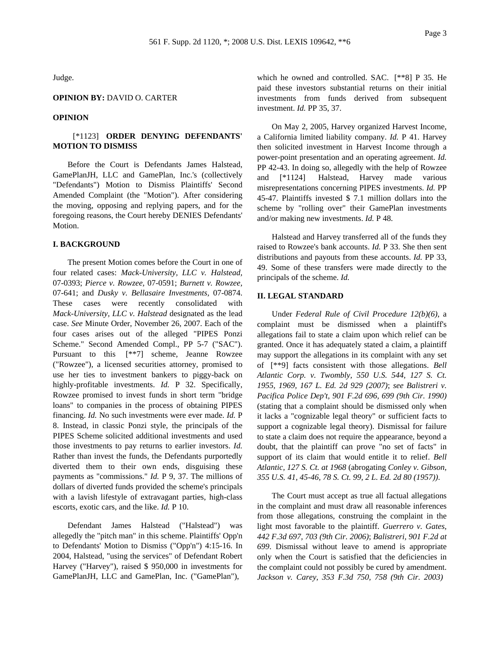Judge.

#### **OPINION BY:** DAVID O. CARTER

#### **OPINION**

# [\*1123] **ORDER DENYING DEFENDANTS' MOTION TO DISMISS**

Before the Court is Defendants James Halstead, GamePlanJH, LLC and GamePlan, Inc.'s (collectively "Defendants") Motion to Dismiss Plaintiffs' Second Amended Complaint (the "Motion"). After considering the moving, opposing and replying papers, and for the foregoing reasons, the Court hereby DENIES Defendants' Motion.

## **I. BACKGROUND**

The present Motion comes before the Court in one of four related cases: *Mack-University, LLC v. Halstead,* 07-0393; *Pierce v. Rowzee,* 07-0591; *Burnett v. Rowzee,* 07-641; and *Dusky v. Bellasaire Investments,* 07-0874. These cases were recently consolidated with *Mack-University, LLC v. Halstead* designated as the lead case. *See* Minute Order, November 26, 2007. Each of the four cases arises out of the alleged "PIPES Ponzi Scheme." Second Amended Compl., PP 5-7 ("SAC"). Pursuant to this [\*\*7] scheme, Jeanne Rowzee ("Rowzee"), a licensed securities attorney, promised to use her ties to investment bankers to piggy-back on highly-profitable investments. *Id.* P 32. Specifically, Rowzee promised to invest funds in short term "bridge loans" to companies in the process of obtaining PIPES financing. *Id.* No such investments were ever made. *Id.* P 8. Instead, in classic Ponzi style, the principals of the PIPES Scheme solicited additional investments and used those investments to pay returns to earlier investors. *Id.* Rather than invest the funds, the Defendants purportedly diverted them to their own ends, disguising these payments as "commissions." *Id.* P 9, 37. The millions of dollars of diverted funds provided the scheme's principals with a lavish lifestyle of extravagant parties, high-class escorts, exotic cars, and the like. *Id.* P 10.

Defendant James Halstead ("Halstead") was allegedly the "pitch man" in this scheme. Plaintiffs' Opp'n to Defendants' Motion to Dismiss ("Opp'n") 4:15-16. In 2004, Halstead, "using the services" of Defendant Robert Harvey ("Harvey"), raised \$ 950,000 in investments for GamePlanJH, LLC and GamePlan, Inc. ("GamePlan"),

which he owned and controlled. SAC. [\*\*8] P 35. He paid these investors substantial returns on their initial investments from funds derived from subsequent investment. *Id.* PP 35, 37.

On May 2, 2005, Harvey organized Harvest Income, a California limited liability company. *Id.* P 41. Harvey then solicited investment in Harvest Income through a power-point presentation and an operating agreement. *Id.* PP 42-43. In doing so, allegedly with the help of Rowzee and [\*1124] Halstead, Harvey made various misrepresentations concerning PIPES investments. *Id.* PP 45-47. Plaintiffs invested \$ 7.1 million dollars into the scheme by "rolling over" their GamePlan investments and/or making new investments. *Id.* P 48.

Halstead and Harvey transferred all of the funds they raised to Rowzee's bank accounts. *Id.* P 33. She then sent distributions and payouts from these accounts. *Id.* PP 33, 49. Some of these transfers were made directly to the principals of the scheme. *Id.*

## **II. LEGAL STANDARD**

Under *Federal Rule of Civil Procedure 12(b)(6)*, a complaint must be dismissed when a plaintiff's allegations fail to state a claim upon which relief can be granted. Once it has adequately stated a claim, a plaintiff may support the allegations in its complaint with any set of [\*\*9] facts consistent with those allegations. *Bell Atlantic Corp. v. Twombly, 550 U.S. 544, 127 S. Ct. 1955, 1969, 167 L. Ed. 2d 929 (2007)*; *see Balistreri v. Pacifica Police Dep't, 901 F.2d 696, 699 (9th Cir. 1990)* (stating that a complaint should be dismissed only when it lacks a "cognizable legal theory" or sufficient facts to support a cognizable legal theory). Dismissal for failure to state a claim does not require the appearance, beyond a doubt, that the plaintiff can prove "no set of facts" in support of its claim that would entitle it to relief. *Bell Atlantic, 127 S. Ct. at 1968* (abrogating *Conley v. Gibson, 355 U.S. 41, 45-46, 78 S. Ct. 99, 2 L. Ed. 2d 80 (1957))*.

The Court must accept as true all factual allegations in the complaint and must draw all reasonable inferences from those allegations, construing the complaint in the light most favorable to the plaintiff. *Guerrero v. Gates, 442 F.3d 697, 703 (9th Cir. 2006)*; *Balistreri, 901 F.2d at 699*. Dismissal without leave to amend is appropriate only when the Court is satisfied that the deficiencies in the complaint could not possibly be cured by amendment. *Jackson v. Carey, 353 F.3d 750, 758 (9th Cir. 2003)*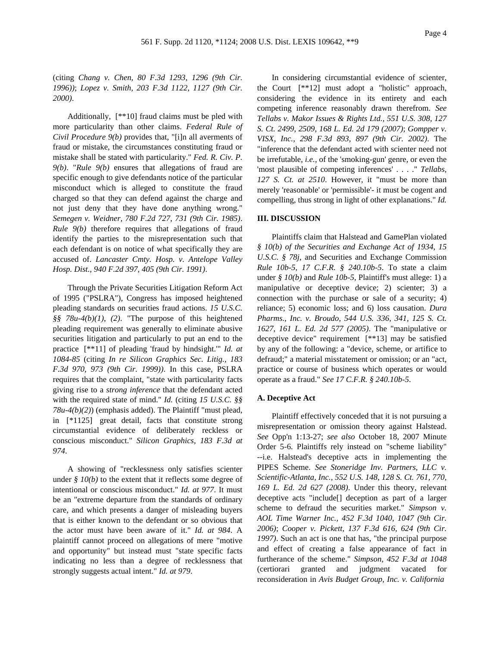(citing *Chang v. Chen, 80 F.3d 1293, 1296 (9th Cir. 1996))*; *Lopez v. Smith, 203 F.3d 1122, 1127 (9th Cir. 2000)*.

Additionally, [\*\*10] fraud claims must be pled with more particularity than other claims. *Federal Rule of Civil Procedure 9(b)* provides that, "[i]n all averments of fraud or mistake, the circumstances constituting fraud or mistake shall be stated with particularity." *Fed. R. Civ. P. 9(b)*. "*Rule 9(b)* ensures that allegations of fraud are specific enough to give defendants notice of the particular misconduct which is alleged to constitute the fraud charged so that they can defend against the charge and not just deny that they have done anything wrong." *Semegen v. Weidner, 780 F.2d 727, 731 (9th Cir. 1985)*. *Rule 9(b)* therefore requires that allegations of fraud identify the parties to the misrepresentation such that each defendant is on notice of what specifically they are accused of. *Lancaster Cmty. Hosp. v. Antelope Valley Hosp. Dist., 940 F.2d 397, 405 (9th Cir. 1991)*.

Through the Private Securities Litigation Reform Act of 1995 ("PSLRA"), Congress has imposed heightened pleading standards on securities fraud actions. *15 U.S.C. §§ 78u-4(b)(1)*, *(2)*. "The purpose of this heightened pleading requirement was generally to eliminate abusive securities litigation and particularly to put an end to the practice [\*\*11] of pleading 'fraud by hindsight.'" *Id. at 1084-85* (citing *In re Silicon Graphics Sec. Litig., 183 F.3d 970, 973 (9th Cir. 1999))*. In this case, PSLRA requires that the complaint, "state with particularity facts giving rise to a *strong inference* that the defendant acted with the required state of mind." *Id.* (citing *15 U.S.C. §§ 78u-4(b)(2)*) (emphasis added). The Plaintiff "must plead, in [\*1125] great detail, facts that constitute strong circumstantial evidence of deliberately reckless or conscious misconduct." *Silicon Graphics, 183 F.3d at 974*.

A showing of "recklessness only satisfies scienter under  $\oint$   $10(b)$  to the extent that it reflects some degree of intentional or conscious misconduct." *Id. at 977*. It must be an "extreme departure from the standards of ordinary care, and which presents a danger of misleading buyers that is either known to the defendant or so obvious that the actor must have been aware of it." *Id. at 984*. A plaintiff cannot proceed on allegations of mere "motive and opportunity" but instead must "state specific facts indicating no less than a degree of recklessness that strongly suggests actual intent." *Id. at 979*.

In considering circumstantial evidence of scienter, the Court [\*\*12] must adopt a "holistic" approach, considering the evidence in its entirety and each competing inference reasonably drawn therefrom. *See Tellabs v. Makor Issues & Rights Ltd., 551 U.S. 308, 127 S. Ct. 2499, 2509, 168 L. Ed. 2d 179 (2007)*; *Gompper v. VISX, Inc., 298 F.3d 893, 897 (9th Cir. 2002)*. The "inference that the defendant acted with scienter need not be irrefutable, *i.e.,* of the 'smoking-gun' genre, or even the 'most plausible of competing inferences' . . . ." *Tellabs, 127 S. Ct. at 2510*. However, it "must be more than merely 'reasonable' or 'permissible'- it must be cogent and compelling, thus strong in light of other explanations." *Id.*

#### **III. DISCUSSION**

Plaintiffs claim that Halstead and GamePlan violated *§ 10(b) of the Securities and Exchange Act of 1934*, *15 U.S.C. § 78j*, and Securities and Exchange Commission *Rule 10b-5*, *17 C.F.R. § 240.10b-5*. To state a claim under *§ 10(b)* and *Rule 10b-5*, Plaintiff's must allege: 1) a manipulative or deceptive device; 2) scienter; 3) a connection with the purchase or sale of a security; 4) reliance; 5) economic loss; and 6) loss causation. *Dura Pharms., Inc. v. Broudo, 544 U.S. 336, 341, 125 S. Ct. 1627, 161 L. Ed. 2d 577 (2005)*. The "manipulative or deceptive device" requirement [\*\*13] may be satisfied by any of the following: a "device, scheme, or artifice to defraud;" a material misstatement or omission; or an "act, practice or course of business which operates or would operate as a fraud." *See 17 C.F.R. § 240.10b-5*.

#### **A. Deceptive Act**

Plaintiff effectively conceded that it is not pursuing a misrepresentation or omission theory against Halstead. *See* Opp'n 1:13-27; *see also* October 18, 2007 Minute Order 5-6. Plaintiffs rely instead on "scheme liability" --i.e. Halstead's deceptive acts in implementing the PIPES Scheme. *See Stoneridge Inv. Partners, LLC v. Scientific-Atlanta, Inc., 552 U.S. 148, 128 S. Ct. 761, 770, 169 L. Ed. 2d 627 (2008)*. Under this theory, relevant deceptive acts "include[] deception as part of a larger scheme to defraud the securities market." *Simpson v. AOL Time Warner Inc., 452 F.3d 1040, 1047 (9th Cir. 2006)*; *Cooper v. Pickett, 137 F.3d 616, 624 (9th Cir. 1997)*. Such an act is one that has, "the principal purpose and effect of creating a false appearance of fact in furtherance of the scheme." *Simpson, 452 F.3d at 1048* (certiorari granted and judgment vacated for reconsideration in *Avis Budget Group, Inc. v. California*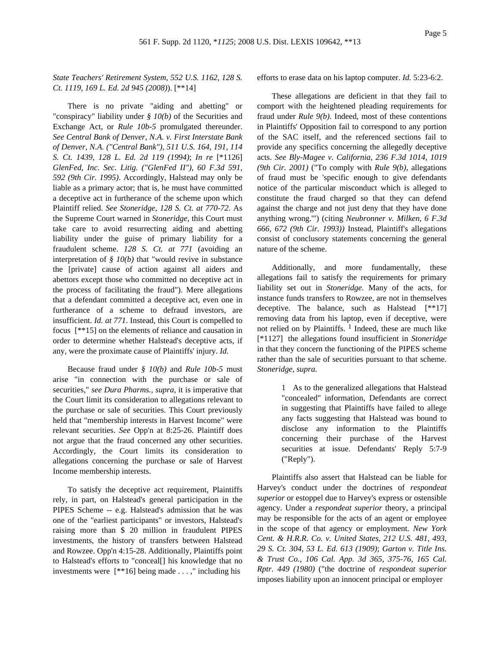## *State Teachers' Retirement System, 552 U.S. 1162, 128 S. Ct. 1119, 169 L. Ed. 2d 945 (2008)*). [\*\*14]

There is no private "aiding and abetting" or "conspiracy" liability under *§ 10(b)* of the Securities and Exchange Act, or *Rule 10b-5* promulgated thereunder. *See Central Bank of Denver, N.A. v. First Interstate Bank of Denver, N.A. ("Central Bank"), 511 U.S. 164, 191, 114 S. Ct. 1439, 128 L. Ed. 2d 119 (1994)*; *In re* [\*1126] *GlenFed, Inc. Sec. Litig. ("GlenFed II"), 60 F.3d 591, 592 (9th Cir. 1995)*. Accordingly, Halstead may only be liable as a primary actor; that is, he must have committed a deceptive act in furtherance of the scheme upon which Plaintiff relied. *See Stoneridge, 128 S. Ct. at 770-72*. As the Supreme Court warned in *Stoneridge,* this Court must take care to avoid resurrecting aiding and abetting liability under the guise of primary liability for a fraudulent scheme. *128 S. Ct. at 771* (avoiding an interpretation of *§ 10(b)* that "would revive in substance the [private] cause of action against all aiders and abettors except those who committed no deceptive act in the process of facilitating the fraud"). Mere allegations that a defendant committed a deceptive act, even one in furtherance of a scheme to defraud investors, are insufficient. *Id. at 771*. Instead, this Court is compelled to focus [\*\*15] on the elements of reliance and causation in order to determine whether Halstead's deceptive acts, if any, were the proximate cause of Plaintiffs' injury. *Id.*

Because fraud under *§ 10(b)* and *Rule 10b-5* must arise "in connection with the purchase or sale of securities," *see Dura Pharms., supra,* it is imperative that the Court limit its consideration to allegations relevant to the purchase or sale of securities. This Court previously held that "membership interests in Harvest Income" were relevant securities. *See* Opp'n at 8:25-26. Plaintiff does not argue that the fraud concerned any other securities. Accordingly, the Court limits its consideration to allegations concerning the purchase or sale of Harvest Income membership interests.

To satisfy the deceptive act requirement, Plaintiffs rely, in part, on Halstead's general participation in the PIPES Scheme -- e.g. Halstead's admission that he was one of the "earliest participants" or investors, Halstead's raising more than \$ 20 million in fraudulent PIPES investments, the history of transfers between Halstead and Rowzee. Opp'n 4:15-28. Additionally, Plaintiffs point to Halstead's efforts to "conceal[] his knowledge that no investments were [\*\*16] being made . . . ," including his

efforts to erase data on his laptop computer. *Id.* 5:23-6:2.

These allegations are deficient in that they fail to comport with the heightened pleading requirements for fraud under *Rule 9(b)*. Indeed, most of these contentions in Plaintiffs' Opposition fail to correspond to any portion of the SAC itself, and the referenced sections fail to provide any specifics concerning the allegedly deceptive acts. *See Bly-Magee v. California, 236 F.3d 1014, 1019 (9th Cir. 2001)* ("To comply with *Rule 9(b)*, allegations of fraud must be 'specific enough to give defendants notice of the particular misconduct which is alleged to constitute the fraud charged so that they can defend against the charge and not just deny that they have done anything wrong.'") (citing *Neubronner v. Milken, 6 F.3d 666, 672 (9th Cir. 1993))* Instead, Plaintiff's allegations consist of conclusory statements concerning the general nature of the scheme.

Additionally, and more fundamentally, these allegations fail to satisfy the requirements for primary liability set out in *Stoneridge.* Many of the acts, for instance funds transfers to Rowzee, are not in themselves deceptive. The balance, such as Halstead [\*\*17] removing data from his laptop, even if deceptive, were not relied on by Plaintiffs. <sup>1</sup> Indeed, these are much like [\*1127] the allegations found insufficient in *Stoneridge* in that they concern the functioning of the PIPES scheme rather than the sale of securities pursuant to that scheme. *Stoneridge, supra.*

> 1 As to the generalized allegations that Halstead "concealed" information, Defendants are correct in suggesting that Plaintiffs have failed to allege any facts suggesting that Halstead was bound to disclose any information to the Plaintiffs concerning their purchase of the Harvest securities at issue. Defendants' Reply 5:7-9 ("Reply").

Plaintiffs also assert that Halstead can be liable for Harvey's conduct under the doctrines of *respondeat superior* or estoppel due to Harvey's express or ostensible agency. Under a *respondeat superior* theory, a principal may be responsible for the acts of an agent or employee in the scope of that agency or employment. *New York Cent. & H.R.R. Co. v. United States, 212 U.S. 481, 493, 29 S. Ct. 304, 53 L. Ed. 613 (1909)*; *Garton v. Title Ins. & Trust Co., 106 Cal. App. 3d 365, 375-76, 165 Cal. Rptr. 449 (1980)* ("the doctrine of *respondeat superior* imposes liability upon an innocent principal or employer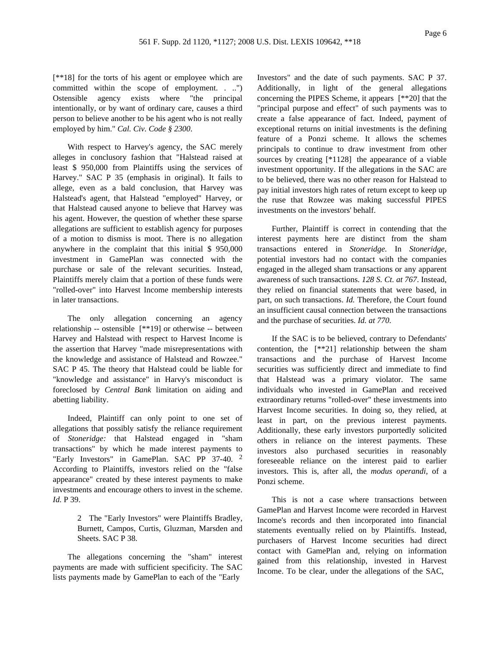[\*\*18] for the torts of his agent or employee which are committed within the scope of employment. . ..") Ostensible agency exists where "the principal intentionally, or by want of ordinary care, causes a third person to believe another to be his agent who is not really employed by him." *Cal. Civ. Code § 2300*.

With respect to Harvey's agency, the SAC merely alleges in conclusory fashion that "Halstead raised at least \$ 950,000 from Plaintiffs using the services of Harvey." SAC P 35 (emphasis in original). It fails to allege, even as a bald conclusion, that Harvey was Halstead's agent, that Halstead "employed" Harvey, or that Halstead caused anyone to believe that Harvey was his agent. However, the question of whether these sparse allegations are sufficient to establish agency for purposes of a motion to dismiss is moot. There is no allegation anywhere in the complaint that this initial \$ 950,000 investment in GamePlan was connected with the purchase or sale of the relevant securities. Instead, Plaintiffs merely claim that a portion of these funds were "rolled-over" into Harvest Income membership interests in later transactions.

The only allegation concerning an agency relationship -- ostensible [\*\*19] or otherwise -- between Harvey and Halstead with respect to Harvest Income is the assertion that Harvey "made misrepresentations with the knowledge and assistance of Halstead and Rowzee." SAC P 45. The theory that Halstead could be liable for "knowledge and assistance" in Harvy's misconduct is foreclosed by *Central Bank* limitation on aiding and abetting liability.

Indeed, Plaintiff can only point to one set of allegations that possibly satisfy the reliance requirement of *Stoneridge:* that Halstead engaged in "sham transactions" by which he made interest payments to "Early Investors" in GamePlan. SAC PP 37-40. 2 According to Plaintiffs, investors relied on the "false appearance" created by these interest payments to make investments and encourage others to invest in the scheme. *Id.* P 39.

> 2 The "Early Investors" were Plaintiffs Bradley, Burnett, Campos, Curtis, Gluzman, Marsden and Sheets. SAC P 38.

The allegations concerning the "sham" interest payments are made with sufficient specificity. The SAC lists payments made by GamePlan to each of the "Early

Investors" and the date of such payments. SAC P 37. Additionally, in light of the general allegations concerning the PIPES Scheme, it appears [\*\*20] that the "principal purpose and effect" of such payments was to create a false appearance of fact. Indeed, payment of exceptional returns on initial investments is the defining feature of a Ponzi scheme. It allows the schemes principals to continue to draw investment from other sources by creating  $[*1128]$  the appearance of a viable investment opportunity. If the allegations in the SAC are to be believed, there was no other reason for Halstead to pay initial investors high rates of return except to keep up the ruse that Rowzee was making successful PIPES investments on the investors' behalf.

Further, Plaintiff is correct in contending that the interest payments here are distinct from the sham transactions entered in *Stoneridge.* In *Stoneridge,* potential investors had no contact with the companies engaged in the alleged sham transactions or any apparent awareness of such transactions. *128 S. Ct. at 767*. Instead, they relied on financial statements that were based, in part, on such transactions. *Id.* Therefore, the Court found an insufficient causal connection between the transactions and the purchase of securities. *Id. at 770*.

If the SAC is to be believed, contrary to Defendants' contention, the [\*\*21] relationship between the sham transactions and the purchase of Harvest Income securities was sufficiently direct and immediate to find that Halstead was a primary violator. The same individuals who invested in GamePlan and received extraordinary returns "rolled-over" these investments into Harvest Income securities. In doing so, they relied, at least in part, on the previous interest payments. Additionally, these early investors purportedly solicited others in reliance on the interest payments. These investors also purchased securities in reasonably foreseeable reliance on the interest paid to earlier investors. This is, after all, the *modus operandi,* of a Ponzi scheme.

This is not a case where transactions between GamePlan and Harvest Income were recorded in Harvest Income's records and then incorporated into financial statements eventually relied on by Plaintiffs. Instead, purchasers of Harvest Income securities had direct contact with GamePlan and, relying on information gained from this relationship, invested in Harvest Income. To be clear, under the allegations of the SAC,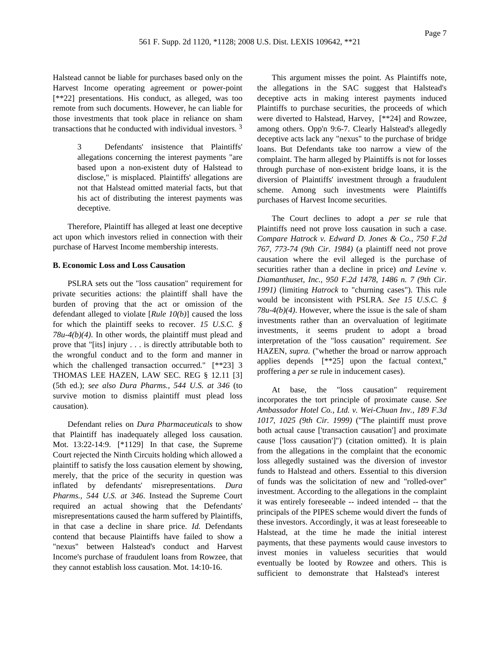Halstead cannot be liable for purchases based only on the Harvest Income operating agreement or power-point [\*\*22] presentations. His conduct, as alleged, was too remote from such documents. However, he can liable for those investments that took place in reliance on sham transactions that he conducted with individual investors. 3

> 3 Defendants' insistence that Plaintiffs' allegations concerning the interest payments "are based upon a non-existent duty of Halstead to disclose," is misplaced. Plaintiffs' allegations are not that Halstead omitted material facts, but that his act of distributing the interest payments was deceptive.

Therefore, Plaintiff has alleged at least one deceptive act upon which investors relied in connection with their purchase of Harvest Income membership interests.

#### **B. Economic Loss and Loss Causation**

PSLRA sets out the "loss causation" requirement for private securities actions: the plaintiff shall have the burden of proving that the act or omission of the defendant alleged to violate [*Rule 10(b)*] caused the loss for which the plaintiff seeks to recover. *15 U.S.C. § 78u-4(b)(4)*. In other words, the plaintiff must plead and prove that "[its] injury . . . is directly attributable both to the wrongful conduct and to the form and manner in which the challenged transaction occurred." [\*\*23] 3 THOMAS LEE HAZEN, LAW SEC. REG § 12.11 [3] (5th ed.); *see also Dura Pharms., 544 U.S. at 346* (to survive motion to dismiss plaintiff must plead loss causation).

Defendant relies on *Dura Pharmaceuticals* to show that Plaintiff has inadequately alleged loss causation. Mot. 13:22-14:9. [\*1129] In that case, the Supreme Court rejected the Ninth Circuits holding which allowed a plaintiff to satisfy the loss causation element by showing, merely, that the price of the security in question was inflated by defendants' misrepresentations. *Dura Pharms., 544 U.S. at 346*. Instead the Supreme Court required an actual showing that the Defendants' misrepresentations caused the harm suffered by Plaintiffs, in that case a decline in share price. *Id.* Defendants contend that because Plaintiffs have failed to show a "nexus" between Halstead's conduct and Harvest Income's purchase of fraudulent loans from Rowzee, that they cannot establish loss causation. Mot. 14:10-16.

This argument misses the point. As Plaintiffs note, the allegations in the SAC suggest that Halstead's deceptive acts in making interest payments induced Plaintiffs to purchase securities, the proceeds of which were diverted to Halstead, Harvey, [\*\*24] and Rowzee, among others. Opp'n 9:6-7. Clearly Halstead's allegedly deceptive acts lack any "nexus" to the purchase of bridge loans. But Defendants take too narrow a view of the complaint. The harm alleged by Plaintiffs is not for losses through purchase of non-existent bridge loans, it is the diversion of Plaintiffs' investment through a fraudulent scheme. Among such investments were Plaintiffs purchases of Harvest Income securities.

The Court declines to adopt a *per se* rule that Plaintiffs need not prove loss causation in such a case. *Compare Hatrock v. Edward D. Jones & Co., 750 F.2d 767, 773-74 (9th Cir. 1984)* (a plaintiff need not prove causation where the evil alleged is the purchase of securities rather than a decline in price) *and Levine v. Diamanthuset, Inc., 950 F.2d 1478, 1486 n. 7 (9th Cir. 1991)* (limiting *Hatrock* to "churning cases"). This rule would be inconsistent with PSLRA. *See 15 U.S.C. § 78u-4(b)(4)*. However, where the issue is the sale of sham investments rather than an overvaluation of legitimate investments, it seems prudent to adopt a broad interpretation of the "loss causation" requirement. *See* HAZEN, *supra.* ("whether the broad or narrow approach applies depends [\*\*25] upon the factual context," proffering a *per se* rule in inducement cases).

At base, the "loss causation" requirement incorporates the tort principle of proximate cause. *See Ambassador Hotel Co., Ltd. v. Wei-Chuan Inv., 189 F.3d 1017, 1025 (9th Cir. 1999)* ("The plaintiff must prove both actual cause ['transaction causation'] and proximate cause ['loss causation']") (citation omitted). It is plain from the allegations in the complaint that the economic loss allegedly sustained was the diversion of investor funds to Halstead and others. Essential to this diversion of funds was the solicitation of new and "rolled-over" investment. According to the allegations in the complaint it was entirely foreseeable -- indeed intended -- that the principals of the PIPES scheme would divert the funds of these investors. Accordingly, it was at least foreseeable to Halstead, at the time he made the initial interest payments, that these payments would cause investors to invest monies in valueless securities that would eventually be looted by Rowzee and others. This is sufficient to demonstrate that Halstead's interest